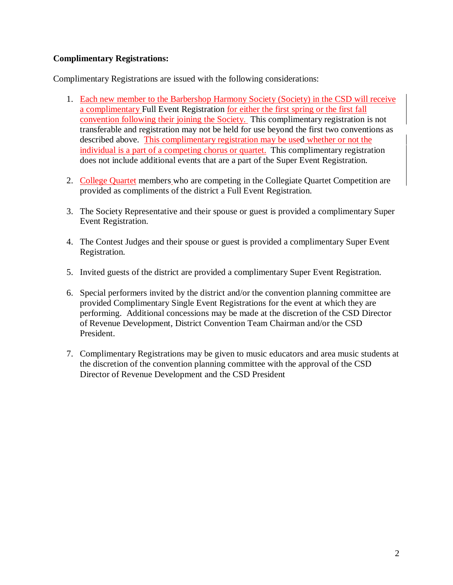## **Complimentary Registrations:**

Complimentary Registrations are issued with the following considerations:

- 1. Each new member to the Barbershop Harmony Society (Society) in the CSD will receive a complimentary Full Event Registration for either the first spring or the first fall convention following their joining the Society. This complimentary registration is not transferable and registration may not be held for use beyond the first two conventions as described above. This complimentary registration may be used whether or not the individual is a part of a competing chorus or quartet. This complimentary registration does not include additional events that are a part of the Super Event Registration.
- 2. College Quartet members who are competing in the Collegiate Quartet Competition are provided as compliments of the district a Full Event Registration.
- 3. The Society Representative and their spouse or guest is provided a complimentary Super Event Registration.
- 4. The Contest Judges and their spouse or guest is provided a complimentary Super Event Registration.
- 5. Invited guests of the district are provided a complimentary Super Event Registration.
- 6. Special performers invited by the district and/or the convention planning committee are provided Complimentary Single Event Registrations for the event at which they are performing. Additional concessions may be made at the discretion of the CSD Director of Revenue Development, District Convention Team Chairman and/or the CSD President.
- 7. Complimentary Registrations may be given to music educators and area music students at the discretion of the convention planning committee with the approval of the CSD Director of Revenue Development and the CSD President